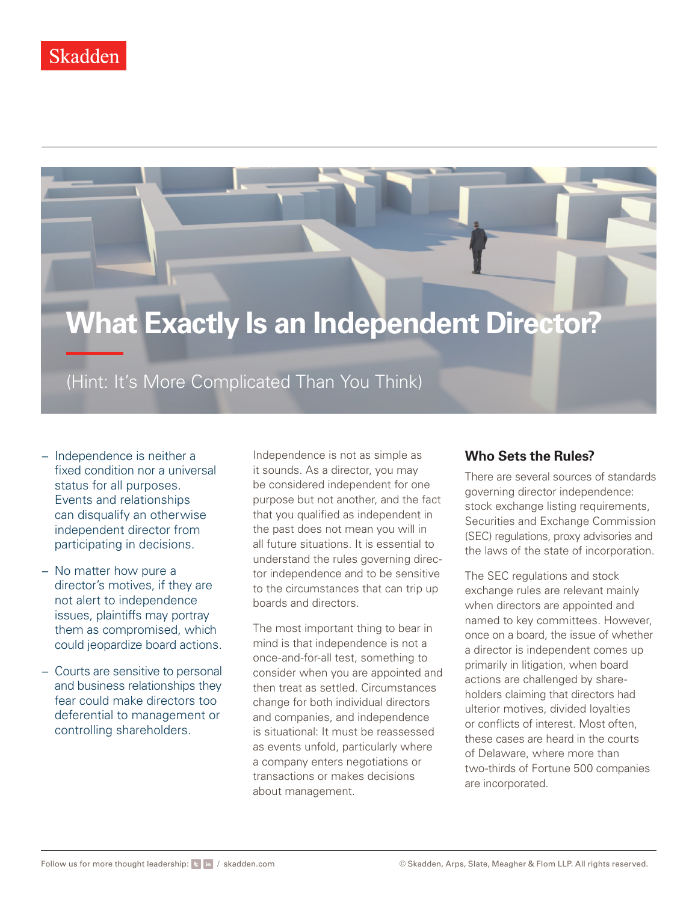# **What Exactly Is an Independent Director?**

(Hint: It's More Complicated Than You Think)

- − Independence is neither a fixed condition nor a universal status for all purposes. Events and relationships can disqualify an otherwise independent director from participating in decisions.
- − No matter how pure a director's motives, if they are not alert to independence issues, plaintiffs may portray them as compromised, which could jeopardize board actions.
- − Courts are sensitive to personal and business relationships they fear could make directors too deferential to management or controlling shareholders.

Independence is not as simple as it sounds. As a director, you may be considered independent for one purpose but not another, and the fact that you qualified as independent in the past does not mean you will in all future situations. It is essential to understand the rules governing director independence and to be sensitive to the circumstances that can trip up boards and directors.

The most important thing to bear in mind is that independence is not a once-and-for-all test, something to consider when you are appointed and then treat as settled. Circumstances change for both individual directors and companies, and independence is situational: It must be reassessed as events unfold, particularly where a company enters negotiations or transactions or makes decisions about management.

## **Who Sets the Rules?**

There are several sources of standards governing director independence: stock exchange listing requirements, Securities and Exchange Commission (SEC) regulations, proxy advisories and the laws of the state of incorporation.

The SEC regulations and stock exchange rules are relevant mainly when directors are appointed and named to key committees. However, once on a board, the issue of whether a director is independent comes up primarily in litigation, when board actions are challenged by shareholders claiming that directors had ulterior motives, divided loyalties or conflicts of interest. Most often, these cases are heard in the courts of Delaware, where more than two-thirds of Fortune 500 companies are incorporated.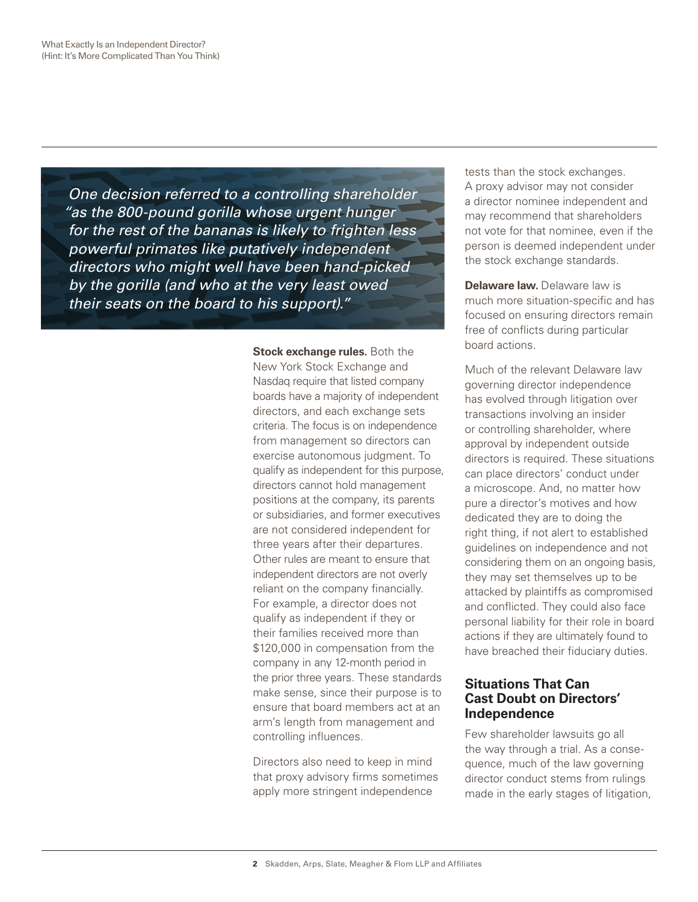*One decision referred to a controlling shareholder "as the 800-pound gorilla whose urgent hunger for the rest of the bananas is likely to frighten less powerful primates like putatively independent directors who might well have been hand-picked by the gorilla (and who at the very least owed their seats on the board to his support)."*

> **Stock exchange rules.** Both the New York Stock Exchange and

Nasdaq require that listed company boards have a majority of independent directors, and each exchange sets criteria. The focus is on independence from management so directors can exercise autonomous judgment. To qualify as independent for this purpose, directors cannot hold management positions at the company, its parents or subsidiaries, and former executives are not considered independent for three years after their departures. Other rules are meant to ensure that independent directors are not overly reliant on the company financially. For example, a director does not qualify as independent if they or their families received more than \$120,000 in compensation from the company in any 12-month period in the prior three years. These standards make sense, since their purpose is to ensure that board members act at an arm's length from management and controlling influences.

Directors also need to keep in mind that proxy advisory firms sometimes apply more stringent independence

tests than the stock exchanges. A proxy advisor may not consider a director nominee independent and may recommend that shareholders not vote for that nominee, even if the person is deemed independent under the stock exchange standards.

**Delaware law.** Delaware law is much more situation-specific and has focused on ensuring directors remain free of conflicts during particular board actions.

Much of the relevant Delaware law governing director independence has evolved through litigation over transactions involving an insider or controlling shareholder, where approval by independent outside directors is required. These situations can place directors' conduct under a microscope. And, no matter how pure a director's motives and how dedicated they are to doing the right thing, if not alert to established guidelines on independence and not considering them on an ongoing basis, they may set themselves up to be attacked by plaintiffs as compromised and conflicted. They could also face personal liability for their role in board actions if they are ultimately found to have breached their fiduciary duties.

## **Situations That Can Cast Doubt on Directors' Independence**

Few shareholder lawsuits go all the way through a trial. As a consequence, much of the law governing director conduct stems from rulings made in the early stages of litigation,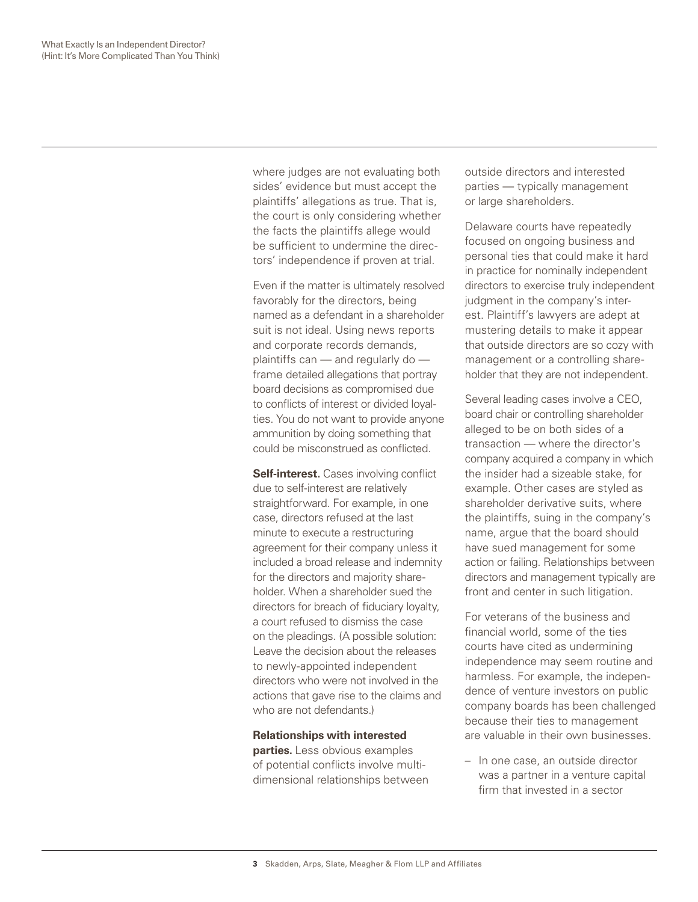where judges are not evaluating both sides' evidence but must accept the plaintiffs' allegations as true. That is, the court is only considering whether the facts the plaintiffs allege would be sufficient to undermine the directors' independence if proven at trial.

Even if the matter is ultimately resolved favorably for the directors, being named as a defendant in a shareholder suit is not ideal. Using news reports and corporate records demands, plaintiffs can — and regularly do frame detailed allegations that portray board decisions as compromised due to conflicts of interest or divided loyalties. You do not want to provide anyone ammunition by doing something that could be misconstrued as conflicted.

**Self-interest.** Cases involving conflict due to self-interest are relatively straightforward. For example, in one case, directors refused at the last minute to execute a restructuring agreement for their company unless it included a broad release and indemnity for the directors and majority shareholder. When a shareholder sued the directors for breach of fiduciary loyalty, a court refused to dismiss the case on the pleadings. (A possible solution: Leave the decision about the releases to newly-appointed independent directors who were not involved in the actions that gave rise to the claims and who are not defendants.)

**Relationships with interested parties.** Less obvious examples of potential conflicts involve multidimensional relationships between outside directors and interested parties — typically management or large shareholders.

Delaware courts have repeatedly focused on ongoing business and personal ties that could make it hard in practice for nominally independent directors to exercise truly independent judgment in the company's interest. Plaintiff's lawyers are adept at mustering details to make it appear that outside directors are so cozy with management or a controlling shareholder that they are not independent.

Several leading cases involve a CEO, board chair or controlling shareholder alleged to be on both sides of a transaction — where the director's company acquired a company in which the insider had a sizeable stake, for example. Other cases are styled as shareholder derivative suits, where the plaintiffs, suing in the company's name, argue that the board should have sued management for some action or failing. Relationships between directors and management typically are front and center in such litigation.

For veterans of the business and financial world, some of the ties courts have cited as undermining independence may seem routine and harmless. For example, the independence of venture investors on public company boards has been challenged because their ties to management are valuable in their own businesses.

– In one case, an outside director was a partner in a venture capital firm that invested in a sector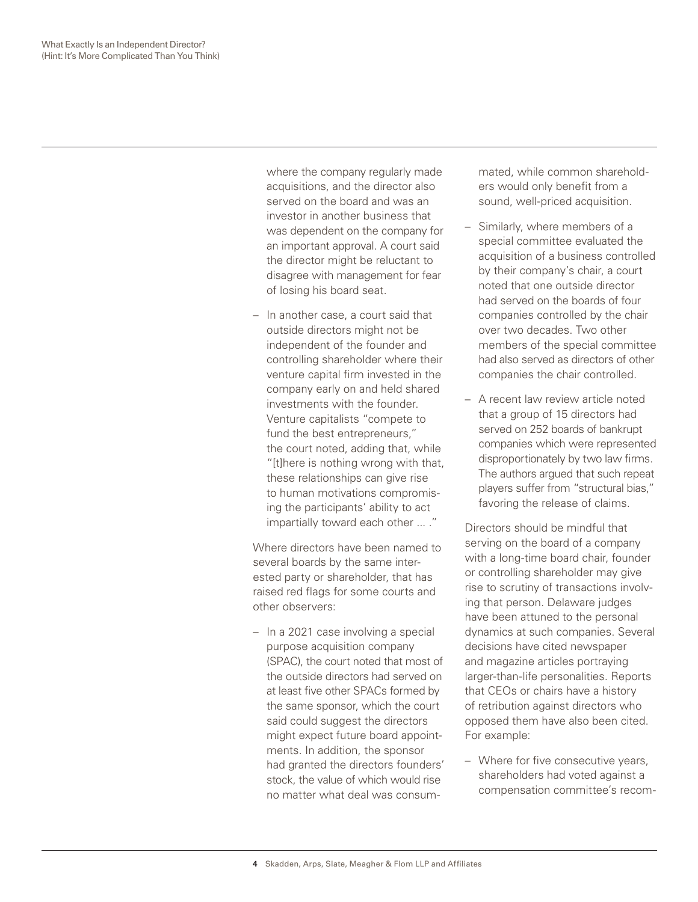where the company regularly made acquisitions, and the director also served on the board and was an investor in another business that was dependent on the company for an important approval. A court said the director might be reluctant to disagree with management for fear of losing his board seat.

– In another case, a court said that outside directors might not be independent of the founder and controlling shareholder where their venture capital firm invested in the company early on and held shared investments with the founder. Venture capitalists "compete to fund the best entrepreneurs," the court noted, adding that, while "[t]here is nothing wrong with that, these relationships can give rise to human motivations compromising the participants' ability to act impartially toward each other ... ."

Where directors have been named to several boards by the same interested party or shareholder, that has raised red flags for some courts and other observers:

– In a 2021 case involving a special purpose acquisition company (SPAC), the court noted that most of the outside directors had served on at least five other SPACs formed by the same sponsor, which the court said could suggest the directors might expect future board appointments. In addition, the sponsor had granted the directors founders' stock, the value of which would rise no matter what deal was consummated, while common shareholders would only benefit from a sound, well-priced acquisition.

- Similarly, where members of a special committee evaluated the acquisition of a business controlled by their company's chair, a court noted that one outside director had served on the boards of four companies controlled by the chair over two decades. Two other members of the special committee had also served as directors of other companies the chair controlled.
- A recent law review article noted that a group of 15 directors had served on 252 boards of bankrupt companies which were represented disproportionately by two law firms. The authors argued that such repeat players suffer from "structural bias," favoring the release of claims.

Directors should be mindful that serving on the board of a company with a long-time board chair, founder or controlling shareholder may give rise to scrutiny of transactions involving that person. Delaware judges have been attuned to the personal dynamics at such companies. Several decisions have cited newspaper and magazine articles portraying larger-than-life personalities. Reports that CEOs or chairs have a history of retribution against directors who opposed them have also been cited. For example:

– Where for five consecutive years, shareholders had voted against a compensation committee's recom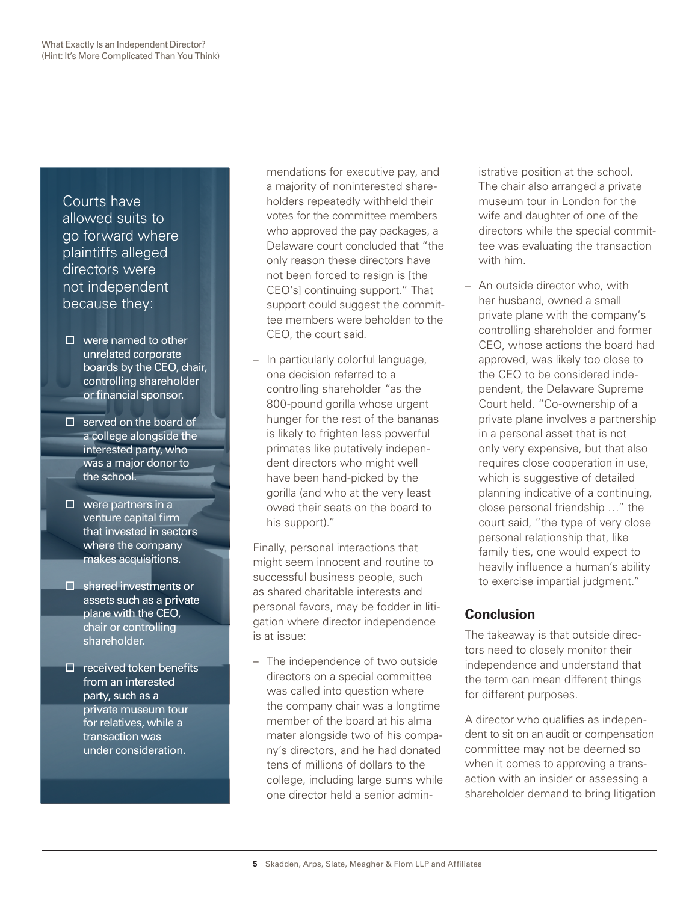Courts have allowed suits to go forward where plaintiffs alleged directors were not independent because they:

- $\Box$  were named to other unrelated corporate boards by the CEO, chair, controlling shareholder or financial sponsor.
- $\square$  served on the board of a college alongside the interested party, who was a major donor to the school.
- $\square$  were partners in a venture capital firm that invested in sectors where the company makes acquisitions.
- $\square$  shared investments or assets such as a private plane with the CEO, chair or controlling shareholder.
- $\Box$  received token benefits from an interested party, such as a private museum tour for relatives, while a transaction was under consideration.

mendations for executive pay, and a majority of noninterested shareholders repeatedly withheld their votes for the committee members who approved the pay packages, a Delaware court concluded that "the only reason these directors have not been forced to resign is [the CEO's] continuing support." That support could suggest the committee members were beholden to the CEO, the court said.

– In particularly colorful language, one decision referred to a controlling shareholder "as the 800-pound gorilla whose urgent hunger for the rest of the bananas is likely to frighten less powerful primates like putatively independent directors who might well have been hand-picked by the gorilla (and who at the very least owed their seats on the board to his support)."

Finally, personal interactions that might seem innocent and routine to successful business people, such as shared charitable interests and personal favors, may be fodder in litigation where director independence is at issue:

– The independence of two outside directors on a special committee was called into question where the company chair was a longtime member of the board at his alma mater alongside two of his company's directors, and he had donated tens of millions of dollars to the college, including large sums while one director held a senior admin-

istrative position at the school. The chair also arranged a private museum tour in London for the wife and daughter of one of the directors while the special committee was evaluating the transaction with him.

– An outside director who, with her husband, owned a small private plane with the company's controlling shareholder and former CEO, whose actions the board had approved, was likely too close to the CEO to be considered independent, the Delaware Supreme Court held. "Co-ownership of a private plane involves a partnership in a personal asset that is not only very expensive, but that also requires close cooperation in use, which is suggestive of detailed planning indicative of a continuing, close personal friendship …" the court said, "the type of very close personal relationship that, like family ties, one would expect to heavily influence a human's ability to exercise impartial judgment."

## **Conclusion**

The takeaway is that outside directors need to closely monitor their independence and understand that the term can mean different things for different purposes.

A director who qualifies as independent to sit on an audit or compensation committee may not be deemed so when it comes to approving a transaction with an insider or assessing a shareholder demand to bring litigation